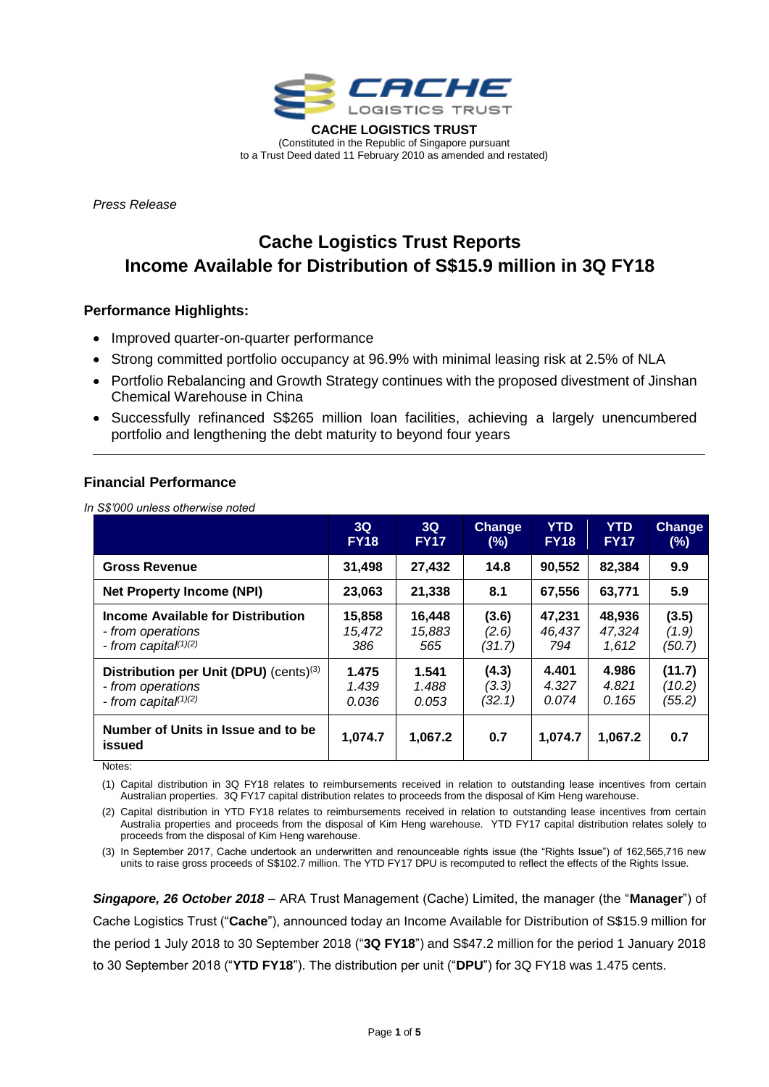

(Constituted in the Republic of Singapore pursuant to a Trust Deed dated 11 February 2010 as amended and restated)

*Press Release* 

# **Cache Logistics Trust Reports Income Available for Distribution of S\$15.9 million in 3Q FY18**

## **Performance Highlights:**

- Improved quarter-on-quarter performance
- Strong committed portfolio occupancy at 96.9% with minimal leasing risk at 2.5% of NLA
- Portfolio Rebalancing and Growth Strategy continues with the proposed divestment of Jinshan Chemical Warehouse in China
- Successfully refinanced S\$265 million loan facilities, achieving a largely unencumbered portfolio and lengthening the debt maturity to beyond four years

## **Financial Performance**

*In S\$'000 unless otherwise noted*

|                                              | 3Q          | 3Q          | <b>Change</b> | <b>YTD</b>  | <b>YTD</b>  | <b>Change</b> |
|----------------------------------------------|-------------|-------------|---------------|-------------|-------------|---------------|
|                                              | <b>FY18</b> | <b>FY17</b> | (%)           | <b>FY18</b> | <b>FY17</b> | (%)           |
| <b>Gross Revenue</b>                         | 31,498      | 27,432      | 14.8          | 90,552      | 82,384      | 9.9           |
| <b>Net Property Income (NPI)</b>             | 23,063      | 21,338      | 8.1           | 67,556      | 63,771      | 5.9           |
| <b>Income Available for Distribution</b>     | 15,858      | 16,448      | (3.6)         | 47,231      | 48,936      | (3.5)         |
| - from operations                            | 15,472      | 15,883      | (2.6)         | 46,437      | 47,324      | (1.9)         |
| - from capita $f^{(1)(2)}$                   | 386         | 565         | (31.7)        | 794         | 1,612       | (50.7)        |
| Distribution per Unit (DPU) (cents)(3)       | 1.475       | 1.541       | (4.3)         | 4.401       | 4.986       | (11.7)        |
| - from operations                            | 1.439       | 1.488       | (3.3)         | 4.327       | 4.821       | (10.2)        |
| - from capita $(1)(2)$                       | 0.036       | 0.053       | (32.1)        | 0.074       | 0.165       | (55.2)        |
| Number of Units in Issue and to be<br>issued | 1,074.7     | 1,067.2     | 0.7           | 1,074.7     | 1,067.2     | 0.7           |

Notes:

(1) Capital distribution in 3Q FY18 relates to reimbursements received in relation to outstanding lease incentives from certain Australian properties. 3Q FY17 capital distribution relates to proceeds from the disposal of Kim Heng warehouse.

(2) Capital distribution in YTD FY18 relates to reimbursements received in relation to outstanding lease incentives from certain Australia properties and proceeds from the disposal of Kim Heng warehouse. YTD FY17 capital distribution relates solely to proceeds from the disposal of Kim Heng warehouse.

(3) In September 2017, Cache undertook an underwritten and renounceable rights issue (the "Rights Issue") of 162,565,716 new units to raise gross proceeds of S\$102.7 million. The YTD FY17 DPU is recomputed to reflect the effects of the Rights Issue.

*Singapore, 26 October 2018* – ARA Trust Management (Cache) Limited, the manager (the "**Manager**") of Cache Logistics Trust ("**Cache**"), announced today an Income Available for Distribution of S\$15.9 million for the period 1 July 2018 to 30 September 2018 ("**3Q FY18**") and S\$47.2 million for the period 1 January 2018 to 30 September 2018 ("**YTD FY18**"). The distribution per unit ("**DPU**") for 3Q FY18 was 1.475 cents.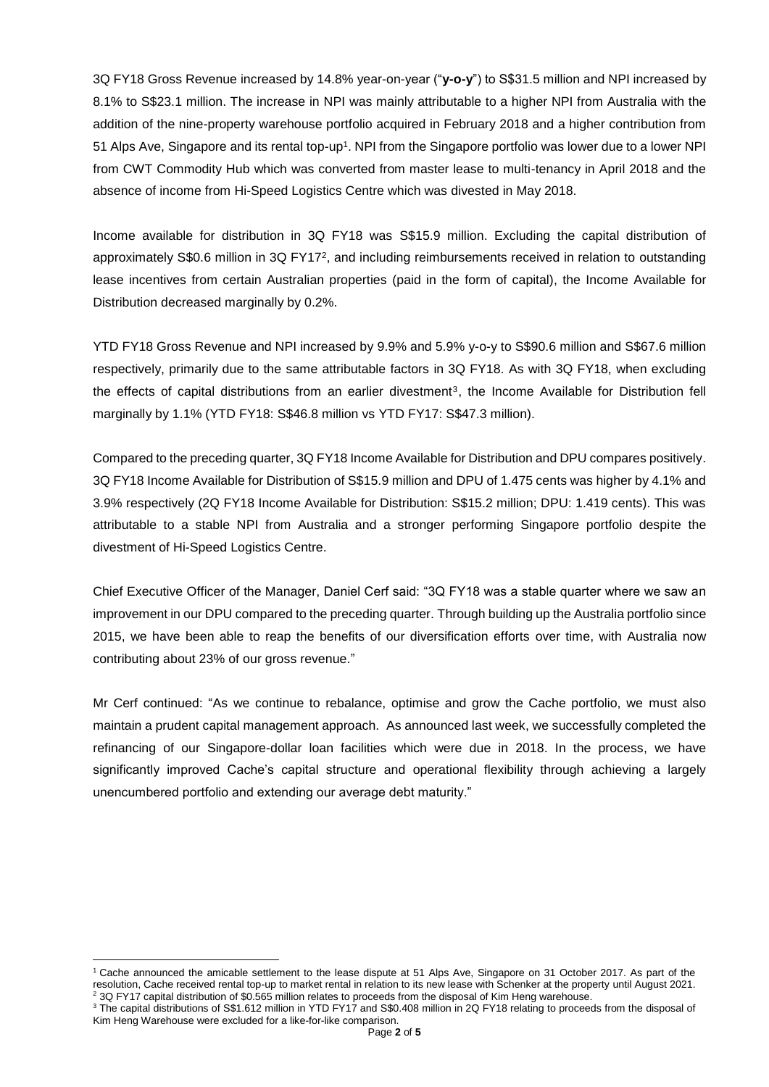3Q FY18 Gross Revenue increased by 14.8% year-on-year ("**y-o-y**") to S\$31.5 million and NPI increased by 8.1% to S\$23.1 million. The increase in NPI was mainly attributable to a higher NPI from Australia with the addition of the nine-property warehouse portfolio acquired in February 2018 and a higher contribution from 51 Alps Ave, Singapore and its rental top-up<sup>1</sup>. NPI from the Singapore portfolio was lower due to a lower NPI from CWT Commodity Hub which was converted from master lease to multi-tenancy in April 2018 and the absence of income from Hi-Speed Logistics Centre which was divested in May 2018.

Income available for distribution in 3Q FY18 was S\$15.9 million. Excluding the capital distribution of approximately S\$0.6 million in 3Q FY17<sup>2</sup>, and including reimbursements received in relation to outstanding lease incentives from certain Australian properties (paid in the form of capital), the Income Available for Distribution decreased marginally by 0.2%.

YTD FY18 Gross Revenue and NPI increased by 9.9% and 5.9% y-o-y to S\$90.6 million and S\$67.6 million respectively, primarily due to the same attributable factors in 3Q FY18. As with 3Q FY18, when excluding the effects of capital distributions from an earlier divestment<sup>3</sup> , the Income Available for Distribution fell marginally by 1.1% (YTD FY18: S\$46.8 million vs YTD FY17: S\$47.3 million).

Compared to the preceding quarter, 3Q FY18 Income Available for Distribution and DPU compares positively. 3Q FY18 Income Available for Distribution of S\$15.9 million and DPU of 1.475 cents was higher by 4.1% and 3.9% respectively (2Q FY18 Income Available for Distribution: S\$15.2 million; DPU: 1.419 cents). This was attributable to a stable NPI from Australia and a stronger performing Singapore portfolio despite the divestment of Hi-Speed Logistics Centre.

Chief Executive Officer of the Manager, Daniel Cerf said: "3Q FY18 was a stable quarter where we saw an improvement in our DPU compared to the preceding quarter. Through building up the Australia portfolio since 2015, we have been able to reap the benefits of our diversification efforts over time, with Australia now contributing about 23% of our gross revenue."

Mr Cerf continued: "As we continue to rebalance, optimise and grow the Cache portfolio, we must also maintain a prudent capital management approach. As announced last week, we successfully completed the refinancing of our Singapore-dollar loan facilities which were due in 2018. In the process, we have significantly improved Cache's capital structure and operational flexibility through achieving a largely unencumbered portfolio and extending our average debt maturity."

<sup>1</sup> <sup>1</sup> Cache announced the amicable settlement to the lease dispute at 51 Alps Ave, Singapore on 31 October 2017. As part of the resolution, Cache received rental top-up to market rental in relation to its new lease with Schenker at the property until August 2021. <sup>2</sup> 3Q FY17 capital distribution of \$0.565 million relates to proceeds from the disposal of Kim Heng warehouse.

<sup>&</sup>lt;sup>3</sup> The capital distributions of S\$1.612 million in YTD FY17 and S\$0.408 million in 2Q FY18 relating to proceeds from the disposal of Kim Heng Warehouse were excluded for a like-for-like comparison.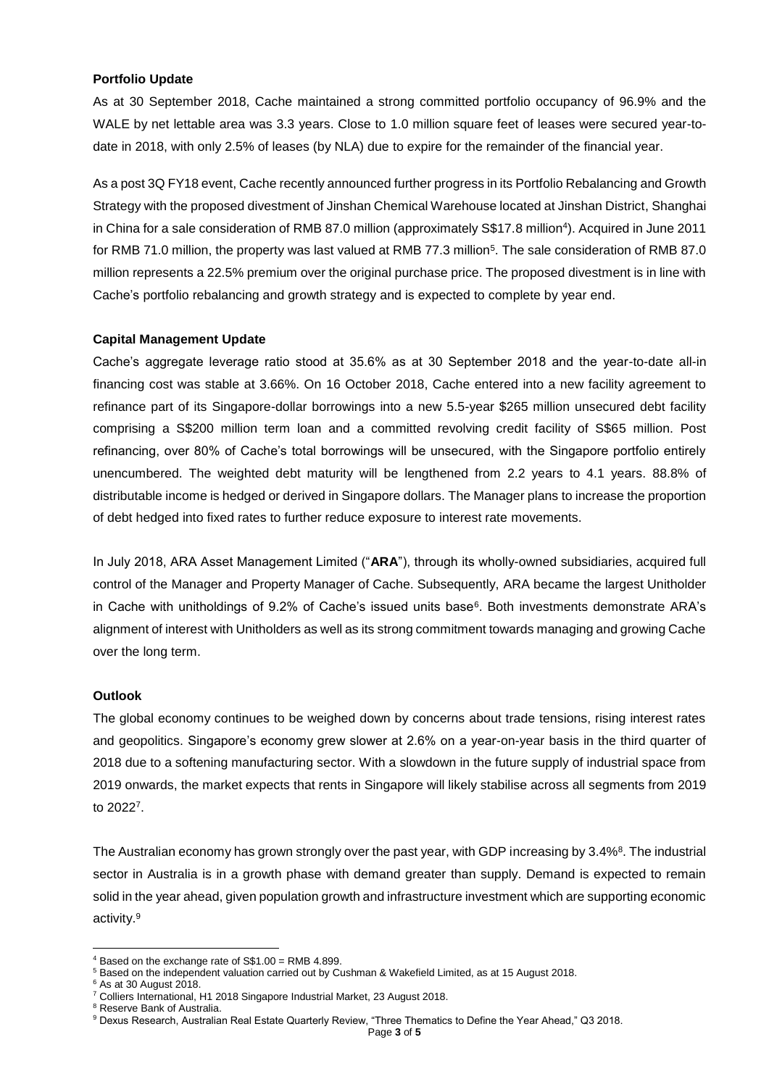#### **Portfolio Update**

As at 30 September 2018, Cache maintained a strong committed portfolio occupancy of 96.9% and the WALE by net lettable area was 3.3 years. Close to 1.0 million square feet of leases were secured year-todate in 2018, with only 2.5% of leases (by NLA) due to expire for the remainder of the financial year.

As a post 3Q FY18 event, Cache recently announced further progress in its Portfolio Rebalancing and Growth Strategy with the proposed divestment of Jinshan Chemical Warehouse located at Jinshan District, Shanghai in China for a sale consideration of RMB 87.0 million (approximately S\$17.8 million<sup>4</sup> ). Acquired in June 2011 for RMB 71.0 million, the property was last valued at RMB 77.3 million<sup>5</sup>. The sale consideration of RMB 87.0 million represents a 22.5% premium over the original purchase price. The proposed divestment is in line with Cache's portfolio rebalancing and growth strategy and is expected to complete by year end.

#### **Capital Management Update**

Cache's aggregate leverage ratio stood at 35.6% as at 30 September 2018 and the year-to-date all-in financing cost was stable at 3.66%. On 16 October 2018, Cache entered into a new facility agreement to refinance part of its Singapore-dollar borrowings into a new 5.5-year \$265 million unsecured debt facility comprising a S\$200 million term loan and a committed revolving credit facility of S\$65 million. Post refinancing, over 80% of Cache's total borrowings will be unsecured, with the Singapore portfolio entirely unencumbered. The weighted debt maturity will be lengthened from 2.2 years to 4.1 years. 88.8% of distributable income is hedged or derived in Singapore dollars. The Manager plans to increase the proportion of debt hedged into fixed rates to further reduce exposure to interest rate movements.

In July 2018, ARA Asset Management Limited ("**ARA**"), through its wholly-owned subsidiaries, acquired full control of the Manager and Property Manager of Cache. Subsequently, ARA became the largest Unitholder in Cache with unitholdings of 9.2% of Cache's issued units base<sup>6</sup>. Both investments demonstrate ARA's alignment of interest with Unitholders as well as its strong commitment towards managing and growing Cache over the long term.

#### **Outlook**

The global economy continues to be weighed down by concerns about trade tensions, rising interest rates and geopolitics. Singapore's economy grew slower at 2.6% on a year-on-year basis in the third quarter of 2018 due to a softening manufacturing sector. With a slowdown in the future supply of industrial space from 2019 onwards, the market expects that rents in Singapore will likely stabilise across all segments from 2019 to 2022<sup>7</sup> .

The Australian economy has grown strongly over the past year, with GDP increasing by 3.4%<sup>8</sup>. The industrial sector in Australia is in a growth phase with demand greater than supply. Demand is expected to remain solid in the year ahead, given population growth and infrastructure investment which are supporting economic activity.<sup>9</sup>

**.** 

 $4$  Based on the exchange rate of S\$1.00 = RMB 4.899.

<sup>5</sup> Based on the independent valuation carried out by Cushman & Wakefield Limited, as at 15 August 2018.

 $6$  As at 30 August 2018.

<sup>7</sup> Colliers International, H1 2018 Singapore Industrial Market, 23 August 2018.

<sup>&</sup>lt;sup>8</sup> Reserve Bank of Australia.

<sup>9</sup> Dexus Research, Australian Real Estate Quarterly Review, "Three Thematics to Define the Year Ahead," Q3 2018.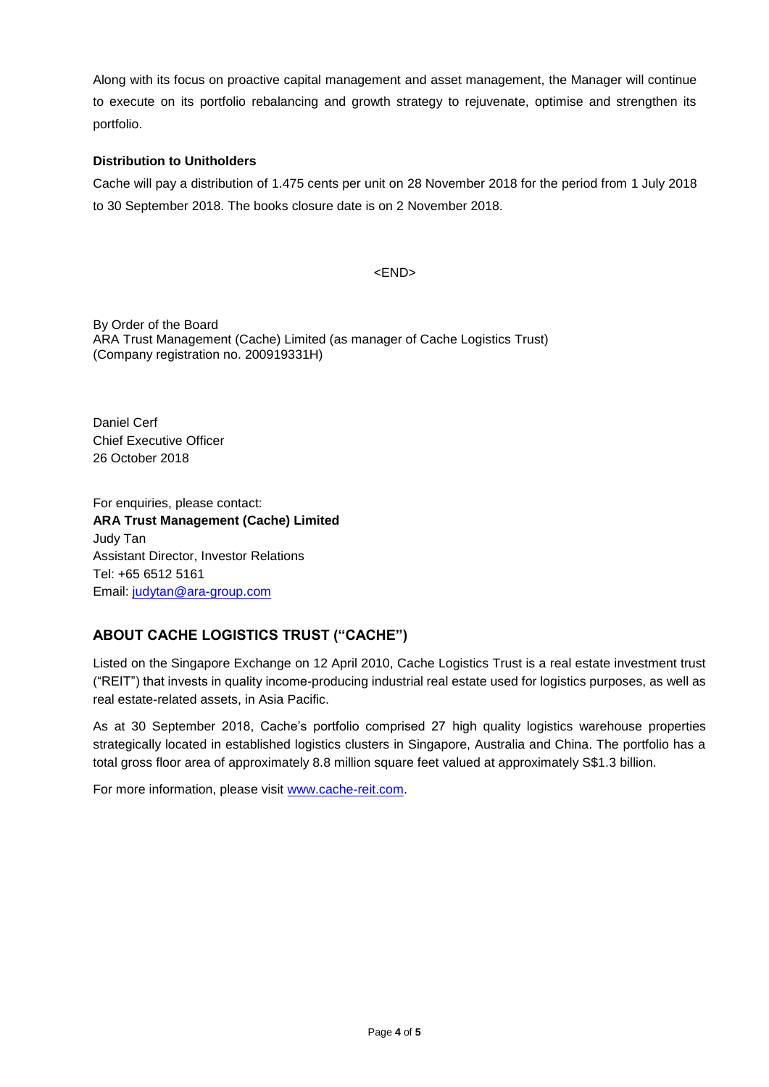Along with its focus on proactive capital management and asset management, the Manager will continue to execute on its portfolio rebalancing and growth strategy to rejuvenate, optimise and strengthen its portfolio.

### **Distribution to Unitholders**

Cache will pay a distribution of 1.475 cents per unit on 28 November 2018 for the period from 1 July 2018 to 30 September 2018. The books closure date is on 2 November 2018.

<END>

By Order of the Board ARA Trust Management (Cache) Limited (as manager of Cache Logistics Trust) (Company registration no. 200919331H)

Daniel Cerf Chief Executive Officer 26 October 2018

For enquiries, please contact: **ARA Trust Management (Cache) Limited** Judy Tan Assistant Director, Investor Relations Tel: +65 6512 5161 Email: [judytan@ara-group.com](mailto:judytan@ara-group.com)

## **ABOUT CACHE LOGISTICS TRUST ("CACHE")**

Listed on the Singapore Exchange on 12 April 2010, Cache Logistics Trust is a real estate investment trust ("REIT") that invests in quality income-producing industrial real estate used for logistics purposes, as well as real estate-related assets, in Asia Pacific.

As at 30 September 2018, Cache's portfolio comprised 27 high quality logistics warehouse properties strategically located in established logistics clusters in Singapore, Australia and China. The portfolio has a total gross floor area of approximately 8.8 million square feet valued at approximately S\$1.3 billion.

For more information, please visit [www.cache-reit.com.](http://www.cache-reit.com/)